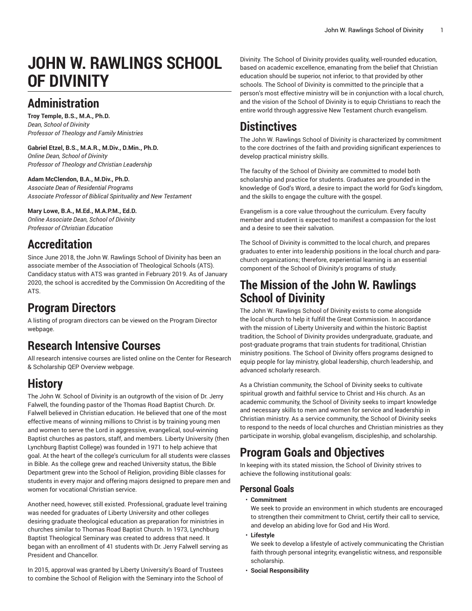# **JOHN W. RAWLINGS SCHOOL OF DIVINITY**

# **Administration**

**Troy Temple, B.S., M.A., Ph.D.** *Dean, School of Divinity Professor of Theology and Family Ministries*

**Gabriel Etzel, B.S., M.A.R., M.Div., D.Min., Ph.D.** *Online Dean, School of Divinity Professor of Theology and Christian Leadership*

#### **Adam McClendon, B.A., M.Div., Ph.D.**

*Associate Dean of Residential Programs Associate Professor of Biblical Spirituality and New Testament*

#### **Mary Lowe, B.A., M.Ed., M.A.P.M., Ed.D.**

*Online Associate Dean, School of Divinity Professor of Christian Education*

# **Accreditation**

Since June 2018, the John W. Rawlings School of Divinity has been an associate member of the Association of Theological Schools (ATS). Candidacy status with ATS was granted in February 2019. As of January 2020, the school is accredited by the Commission On Accrediting of the ATS.

# **Program Directors**

A listing of program directors can be viewed on the [Program](https://www.liberty.edu/institutional-effectiveness/academic-program-directors/) Director webpage.

# **Research Intensive Courses**

All research intensive courses are listed online on the Center for Research & Scholarship QEP [Overview](https://www.liberty.edu/center-for-research-scholarship/qep-overview/) webpage.

# **History**

The John W. School of Divinity is an outgrowth of the vision of Dr. Jerry Falwell, the founding pastor of the Thomas Road Baptist Church. Dr. Falwell believed in Christian education. He believed that one of the most effective means of winning millions to Christ is by training young men and women to serve the Lord in aggressive, evangelical, soul-winning Baptist churches as pastors, staff, and members. Liberty University (then Lynchburg Baptist College) was founded in 1971 to help achieve that goal. At the heart of the college's curriculum for all students were classes in Bible. As the college grew and reached University status, the Bible Department grew into the School of Religion, providing Bible classes for students in every major and offering majors designed to prepare men and women for vocational Christian service.

Another need, however, still existed. Professional, graduate level training was needed for graduates of Liberty University and other colleges desiring graduate theological education as preparation for ministries in churches similar to Thomas Road Baptist Church. In 1973, Lynchburg Baptist Theological Seminary was created to address that need. It began with an enrollment of 41 students with Dr. Jerry Falwell serving as President and Chancellor.

In 2015, approval was granted by Liberty University's Board of Trustees to combine the School of Religion with the Seminary into the School of

Divinity. The School of Divinity provides quality, well-rounded education, based on academic excellence, emanating from the belief that Christian education should be superior, not inferior, to that provided by other schools. The School of Divinity is committed to the principle that a person's most effective ministry will be in conjunction with a local church, and the vision of the School of Divinity is to equip Christians to reach the entire world through aggressive New Testament church evangelism.

# **Distinctives**

The John W. Rawlings School of Divinity is characterized by commitment to the core doctrines of the faith and providing significant experiences to develop practical ministry skills.

The faculty of the School of Divinity are committed to model both scholarship and practice for students. Graduates are grounded in the knowledge of God's Word, a desire to impact the world for God's kingdom, and the skills to engage the culture with the gospel.

Evangelism is a core value throughout the curriculum. Every faculty member and student is expected to manifest a compassion for the lost and a desire to see their salvation.

The School of Divinity is committed to the local church, and prepares graduates to enter into leadership positions in the local church and parachurch organizations; therefore, experiential learning is an essential component of the School of Divinity's programs of study.

### **The Mission of the John W. Rawlings School of Divinity**

The John W. Rawlings School of Divinity exists to come alongside the local church to help it fulfill the Great Commission. In accordance with the mission of Liberty University and within the historic Baptist tradition, the School of Divinity provides undergraduate, graduate, and post-graduate programs that train students for traditional, Christian ministry positions. The School of Divinity offers programs designed to equip people for lay ministry, global leadership, church leadership, and advanced scholarly research.

As a Christian community, the School of Divinity seeks to cultivate spiritual growth and faithful service to Christ and His church. As an academic community, the School of Divinity seeks to impart knowledge and necessary skills to men and women for service and leadership in Christian ministry. As a service community, the School of Divinity seeks to respond to the needs of local churches and Christian ministries as they participate in worship, global evangelism, discipleship, and scholarship.

# **Program Goals and Objectives**

In keeping with its stated mission, the School of Divinity strives to achieve the following institutional goals:

### **Personal Goals**

#### • **Commitment**

We seek to provide an environment in which students are encouraged to strengthen their commitment to Christ, certify their call to service, and develop an abiding love for God and His Word.

• **Lifestyle**

We seek to develop a lifestyle of actively communicating the Christian faith through personal integrity, evangelistic witness, and responsible scholarship.

• **Social Responsibility**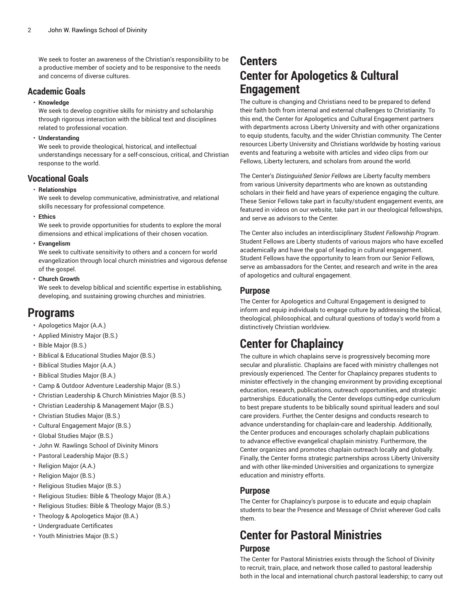We seek to foster an awareness of the Christian's responsibility to be a productive member of society and to be responsive to the needs and concerns of diverse cultures.

### **Academic Goals**

#### • **Knowledge**

We seek to develop cognitive skills for ministry and scholarship through rigorous interaction with the biblical text and disciplines related to professional vocation.

#### • **Understanding**

We seek to provide theological, historical, and intellectual understandings necessary for a self-conscious, critical, and Christian response to the world.

### **Vocational Goals**

#### • **Relationships**

We seek to develop communicative, administrative, and relational skills necessary for professional competence.

• **Ethics**

We seek to provide opportunities for students to explore the moral dimensions and ethical implications of their chosen vocation.

• **Evangelism**

We seek to cultivate sensitivity to others and a concern for world evangelization through local church ministries and vigorous defense of the gospel.

• **Church Growth**

We seek to develop biblical and scientific expertise in establishing, developing, and sustaining growing churches and ministries.

### **Programs**

- [Apologetics Major \(A.A.\)](https://catalog.liberty.edu/undergraduate/colleges-schools/rawlings-divinity/apologetics-major-aa/)
- Applied [Ministry](https://catalog.liberty.edu/undergraduate/colleges-schools/rawlings-divinity/applied-ministry-major-bs/) Major (B.S.)
- [Bible Major \(B.S.\)](https://catalog.liberty.edu/undergraduate/colleges-schools/rawlings-divinity/bible-major-bs/)
- Biblical & [Educational](https://catalog.liberty.edu/undergraduate/colleges-schools/rawlings-divinity/biblical-educational-studies-major-bs/) Studies Major (B.S.)
- [Biblical Studies Major \(A.A.\)](https://catalog.liberty.edu/undergraduate/colleges-schools/rawlings-divinity/biblical-studies-major-aa/)
- [Biblical Studies Major \(B.A.\)](https://catalog.liberty.edu/undergraduate/colleges-schools/rawlings-divinity/biblical-studies-major-ba/)
- Camp & Outdoor Adventure [Leadership](https://catalog.liberty.edu/undergraduate/colleges-schools/rawlings-divinity/camp-outdoor-adventure-leadership-bs/) Major (B.S.)
- Christian [Leadership](https://catalog.liberty.edu/undergraduate/colleges-schools/rawlings-divinity/christian-leadership-church-ministries-major-bs/) & Church Ministries Major (B.S.)
- [Christian Leadership & Management Major \(B.S.\)](https://catalog.liberty.edu/undergraduate/colleges-schools/rawlings-divinity/christian-leadership-management-major-bs/)
- [Christian Studies Major \(B.S.\)](https://catalog.liberty.edu/undergraduate/colleges-schools/rawlings-divinity/christian-studies-major-bs/)
- [Cultural Engagement Major \(B.S.\)](https://catalog.liberty.edu/undergraduate/colleges-schools/rawlings-divinity/cultural-engagement-major-bs/)
- [Global Studies Major \(B.S.\)](https://catalog.liberty.edu/undergraduate/colleges-schools/rawlings-divinity/global-studies-major-bs/)
- John W. [Rawlings](https://catalog.liberty.edu/undergraduate/colleges-schools/rawlings-divinity/minors/) School of Divinity Minors
- Pastoral [Leadership](https://catalog.liberty.edu/undergraduate/colleges-schools/rawlings-divinity/pastoral-leadership-major-bs/) Major (B.S.)
- [Religion Major \(A.A.\)](https://catalog.liberty.edu/undergraduate/colleges-schools/rawlings-divinity/religion-major-aa/)
- [Religion Major \(B.S.\)](https://catalog.liberty.edu/undergraduate/colleges-schools/rawlings-divinity/religion-major-bs/)
- [Religious Studies Major \(B.S.\)](https://catalog.liberty.edu/undergraduate/colleges-schools/rawlings-divinity/religious-studies-major-bs/)
- [Religious Studies: Bible & Theology Major \(B.A.\)](https://catalog.liberty.edu/undergraduate/colleges-schools/rawlings-divinity/religious-studies-bible-theology-major-ba/)
- [Religious Studies: Bible & Theology Major \(B.S.\)](https://catalog.liberty.edu/undergraduate/colleges-schools/rawlings-divinity/religious-studies-bible-theology-major-bs/)
- [Theology & Apologetics Major \(B.A.\)](https://catalog.liberty.edu/undergraduate/colleges-schools/rawlings-divinity/theology-apologetics-ba/)
- [Undergraduate](https://catalog.liberty.edu/undergraduate/colleges-schools/rawlings-divinity/undergraduate-certificates/) Certificates
- Youth [Ministries](https://catalog.liberty.edu/undergraduate/colleges-schools/rawlings-divinity/youth-ministries-major-bs/) Major (B.S.)

### **Centers Center for Apologetics & Cultural Engagement**

The culture is changing and Christians need to be prepared to defend their faith both from internal and external challenges to Christianity. To this end, the Center for Apologetics and Cultural Engagement partners with departments across Liberty University and with other organizations to equip students, faculty, and the wider Christian community. The Center resources Liberty University and Christians worldwide by hosting various events and featuring a website with articles and video clips from our Fellows, Liberty lecturers, and scholars from around the world.

The Center's *Distinguished Senior Fellows* are Liberty faculty members from various University departments who are known as outstanding scholars in their field and have years of experience engaging the culture. These Senior Fellows take part in faculty/student engagement events, are featured in videos on our website, take part in our theological fellowships, and serve as advisors to the Center.

The Center also includes an interdisciplinary *Student Fellowship Program*. Student Fellows are Liberty students of various majors who have excelled academically and have the goal of leading in cultural engagement. Student Fellows have the opportunity to learn from our Senior Fellows, serve as ambassadors for the Center, and research and write in the area of apologetics and cultural engagement.

### **Purpose**

The Center for Apologetics and Cultural Engagement is designed to inform and equip individuals to engage culture by addressing the biblical, theological, philosophical, and cultural questions of today's world from a distinctively Christian worldview.

# **Center for Chaplaincy**

The culture in which chaplains serve is progressively becoming more secular and pluralistic. Chaplains are faced with ministry challenges not previously experienced. The Center for Chaplaincy prepares students to minister effectively in the changing environment by providing exceptional education, research, publications, outreach opportunities, and strategic partnerships. Educationally, the Center develops cutting-edge curriculum to best prepare students to be biblically sound spiritual leaders and soul care providers. Further, the Center designs and conducts research to advance understanding for chaplain-care and leadership. Additionally, the Center produces and encourages scholarly chaplain publications to advance effective evangelical chaplain ministry. Furthermore, the Center organizes and promotes chaplain outreach locally and globally. Finally, the Center forms strategic partnerships across Liberty University and with other like-minded Universities and organizations to synergize education and ministry efforts.

### **Purpose**

The Center for Chaplaincy's purpose is to educate and equip chaplain students to bear the Presence and Message of Christ wherever God calls them.

### **Center for Pastoral Ministries Purpose**

The Center for Pastoral Ministries exists through the School of Divinity to recruit, train, place, and network those called to pastoral leadership both in the local and international church pastoral leadership; to carry out